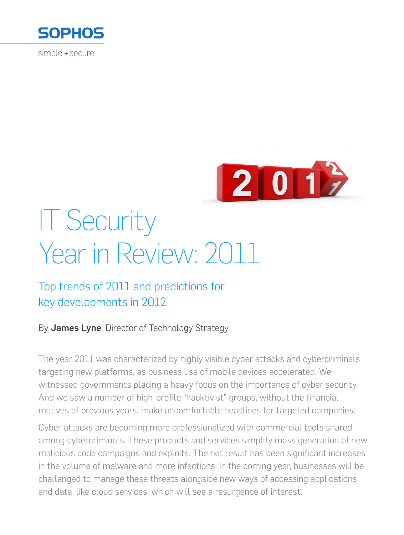

simple + secure



# IT Security Year in Review: 2011

# Top trends of 2011 and predictions for key developments in 2012

## By **James Lyne**, Director of Technology Strategy

The year 2011 was characterized by highly visible cyber attacks and cybercriminals targeting new platforms, as business use of mobile devices accelerated. We witnessed governments placing a heavy focus on the importance of cyber security. And we saw a number of high-profile "hacktivist" groups, without the financial motives of previous years, make uncomfortable headlines for targeted companies.

Cyber attacks are becoming more professionalized with commercial tools shared among cybercriminals. These products and services simplify mass generation of new malicious code campaigns and exploits. The net result has been significant increases in the volume of malware and more infections. In the coming year, businesses will be challenged to manage these threats alongside new ways of accessing applications and data, like cloud services, which will see a resurgence of interest.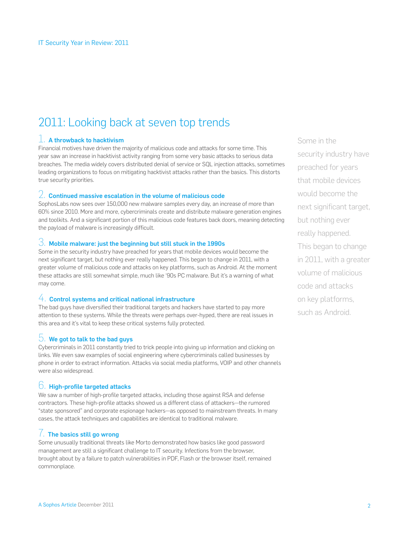# 2011: Looking back at seven top trends

#### $\perp$ . A throwback to hacktivism

Financial motives have driven the majority of malicious code and attacks for some time. This year saw an increase in hacktivist activity ranging from some very basic attacks to serious data breaches. The media widely covers distributed denial of service or SQL injection attacks, sometimes leading organizations to focus on mitigating hacktivist attacks rather than the basics. This distorts true security priorities.

#### $2.$  Continued massive escalation in the volume of malicious code

SophosLabs now sees over 150,000 new malware samples every day, an increase of more than 60% since 2010. More and more, cybercriminals create and distribute malware generation engines and toolkits. And a significant portion of this malicious code features back doors, meaning detecting the payload of malware is increasingly difficult.

### $\beta$ . Mobile malware: just the beginning but still stuck in the 1990s

Some in the security industry have preached for years that mobile devices would become the next significant target, but nothing ever really happened. This began to change in 2011, with a greater volume of malicious code and attacks on key platforms, such as Android. At the moment these attacks are still somewhat simple, much like '90s PC malware. But it's a warning of what may come.

#### $\overline{4}$ . Control systems and critical national infrastructure

The bad guys have diversified their traditional targets and hackers have started to pay more attention to these systems. While the threats were perhaps over-hyped, there are real issues in this area and it's vital to keep these critical systems fully protected.

#### $\circ$ . We got to talk to the bad guys

Cybercriminals in 2011 constantly tried to trick people into giving up information and clicking on links. We even saw examples of social engineering where cybercriminals called businesses by phone in order to extract information. Attacks via social media platforms, VOIP and other channels were also widespread.

#### $6.$  High-profile targeted attacks

We saw a number of high-profile targeted attacks, including those against RSA and defense contractors. These high-profile attacks showed us a different class of attackers—the rumored "state sponsored" and corporate espionage hackers—as opposed to mainstream threats. In many cases, the attack techniques and capabilities are identical to traditional malware.

#### $\sqrt{2}$ . The basics still go wrong

Some unusually traditional threats like Morto demonstrated how basics like good password management are still a significant challenge to IT security. Infections from the browser, brought about by a failure to patch vulnerabilities in PDF, Flash or the browser itself, remained commonplace.

Some in the security industry have preached for years that mobile devices would become the next significant target, but nothing ever really happened. This began to change in 2011, with a greater volume of malicious code and attacks on key platforms, such as Android.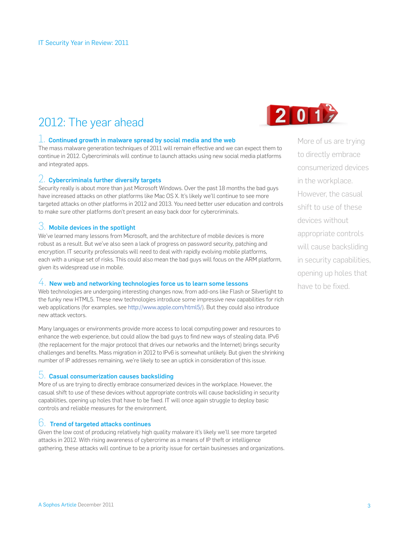# 2012: The year ahead

#### $\perp$ . Continued growth in malware spread by social media and the web

The mass malware generation techniques of 2011 will remain effective and we can expect them to continue in 2012. Cybercriminals will continue to launch attacks using new social media platforms and integrated apps.

#### 2. Cybercriminals further diversify targets

Security really is about more than just Microsoft Windows. Over the past 18 months the bad guys have increased attacks on other platforms like Mac OS X. It's likely we'll continue to see more targeted attacks on other platforms in 2012 and 2013. You need better user education and controls to make sure other platforms don't present an easy back door for cybercriminals.

#### $\beta$ . Mobile devices in the spotlight

We've learned many lessons from Microsoft, and the architecture of mobile devices is more robust as a result. But we've also seen a lack of progress on password security, patching and encryption. IT security professionals will need to deal with rapidly evolving mobile platforms, each with a unique set of risks. This could also mean the bad guys will focus on the ARM platform, given its widespread use in mobile.

#### $4.$  New web and networking technologies force us to learn some lessons

Web technologies are undergoing interesting changes now, from add-ons like Flash or Silverlight to the funky new HTML5. These new technologies introduce some impressive new capabilities for rich web applications (for examples, see<http://www.apple.com/html5/>). But they could also introduce new attack vectors.

Many languages or environments provide more access to local computing power and resources to enhance the web experience, but could allow the bad guys to find new ways of stealing data. IPv6 (the replacement for the major protocol that drives our networks and the Internet) brings security challenges and benefits. Mass migration in 2012 to IPv6 is somewhat unlikely. But given the shrinking number of IP addresses remaining, we're likely to see an uptick in consideration of this issue.

#### $5.$  Casual consumerization causes backsliding

More of us are trying to directly embrace consumerized devices in the workplace. However, the casual shift to use of these devices without appropriate controls will cause backsliding in security capabilities, opening up holes that have to be fixed. IT will once again struggle to deploy basic controls and reliable measures for the environment.

#### $6.$  Trend of targeted attacks continues

Given the low cost of producing relatively high quality malware it's likely we'll see more targeted attacks in 2012. With rising awareness of cybercrime as a means of IP theft or intelligence gathering, these attacks will continue to be a priority issue for certain businesses and organizations.



More of us are trying to directly embrace consumerized devices in the workplace. However, the casual shift to use of these devices without appropriate controls will cause backsliding in security capabilities, opening up holes that have to be fixed.